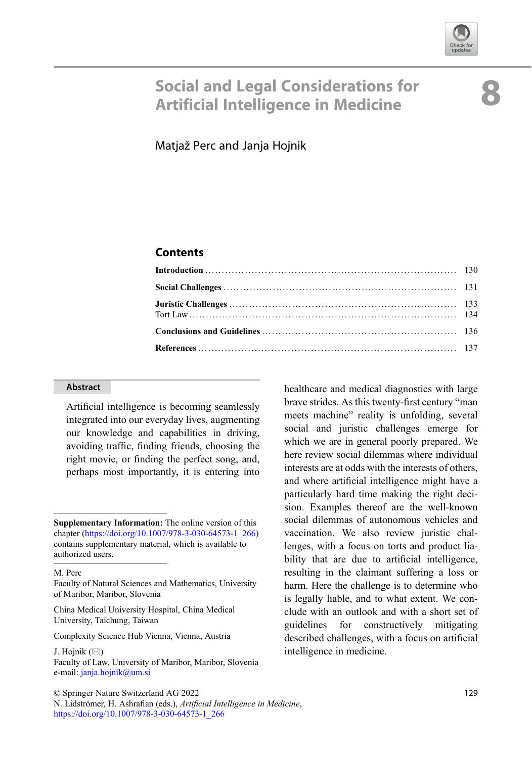

# Social and Legal Considerations for<br>Artificial Intelligence in Medicine

Matjaž Perc and Janja Hojnik

## **Contents**

#### Abstract

Artificial intelligence is becoming seamlessly integrated into our everyday lives, augmenting our knowledge and capabilities in driving, avoiding traffic, finding friends, choosing the right movie, or finding the perfect song, and, perhaps most importantly, it is entering into

China Medical University Hospital, China Medical University, Taichung, Taiwan

Complexity Science Hub Vienna, Vienna, Austria

J. Hojnik  $(\boxtimes)$ Faculty of Law, University of Maribor, Maribor, Slovenia e-mail: [janja.hojnik@um.si](mailto:janja.hojnik@um.si)

healthcare and medical diagnostics with large brave strides. As this twenty-first century "man meets machine" reality is unfolding, several social and juristic challenges emerge for which we are in general poorly prepared. We here review social dilemmas where individual interests are at odds with the interests of others, and where artificial intelligence might have a particularly hard time making the right decision. Examples thereof are the well-known social dilemmas of autonomous vehicles and vaccination. We also review juristic challenges, with a focus on torts and product liability that are due to artificial intelligence, resulting in the claimant suffering a loss or harm. Here the challenge is to determine who is legally liable, and to what extent. We conclude with an outlook and with a short set of guidelines for constructively mitigating described challenges, with a focus on artificial intelligence in medicine.

Supplementary Information: The online version of this chapter ([https://doi.org/10.1007/978-3-030-64573-1\\_266\)](https://doi.org/10.1007/978-3-030-64573-1_266#DOI) contains supplementary material, which is available to authorized users.

M. Perc

Faculty of Natural Sciences and Mathematics, University of Maribor, Maribor, Slovenia

N. Lidströmer, H. Ashrafian (eds.), Artificial Intelligence in Medicine, [https://doi.org/10.1007/978-3-030-64573-1\\_266](https://doi.org/10.1007/978-3-030-64573-1_266#DOI)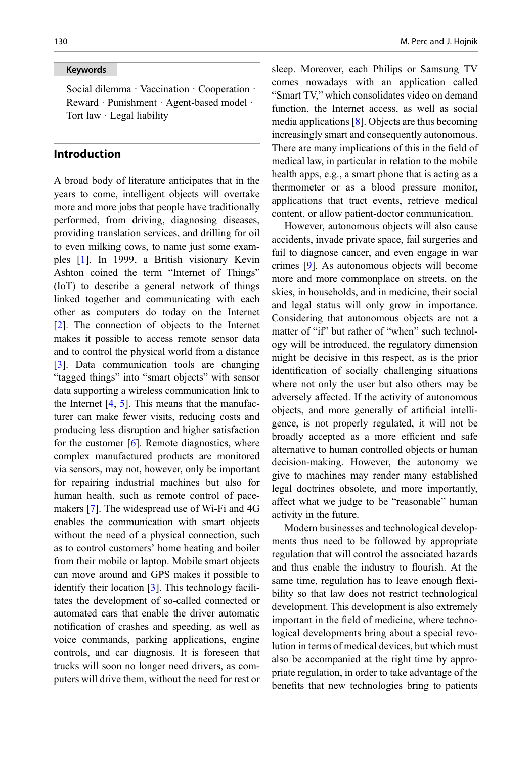#### Keywords

Social dilemma · Vaccination · Cooperation · Reward · Punishment · Agent-based model · Tort law · Legal liability

#### Introduction

A broad body of literature anticipates that in the years to come, intelligent objects will overtake more and more jobs that people have traditionally performed, from driving, diagnosing diseases, providing translation services, and drilling for oil to even milking cows, to name just some examples [\[1](#page-8-0)]. In 1999, a British visionary Kevin Ashton coined the term "Internet of Things" (IoT) to describe a general network of things linked together and communicating with each other as computers do today on the Internet [\[2](#page-8-1)]. The connection of objects to the Internet makes it possible to access remote sensor data and to control the physical world from a distance [\[3](#page-9-0)]. Data communication tools are changing "tagged things" into "smart objects" with sensor data supporting a wireless communication link to the Internet  $[4, 5]$  $[4, 5]$  $[4, 5]$ . This means that the manufacturer can make fewer visits, reducing costs and producing less disruption and higher satisfaction for the customer [[6\]](#page-9-3). Remote diagnostics, where complex manufactured products are monitored via sensors, may not, however, only be important for repairing industrial machines but also for human health, such as remote control of pacemakers [\[7](#page-9-4)]. The widespread use of Wi-Fi and 4G enables the communication with smart objects without the need of a physical connection, such as to control customers' home heating and boiler from their mobile or laptop. Mobile smart objects can move around and GPS makes it possible to identify their location [[3\]](#page-9-0). This technology facilitates the development of so-called connected or automated cars that enable the driver automatic notification of crashes and speeding, as well as voice commands, parking applications, engine controls, and car diagnosis. It is foreseen that trucks will soon no longer need drivers, as computers will drive them, without the need for rest or sleep. Moreover, each Philips or Samsung TV comes nowadays with an application called "Smart TV," which consolidates video on demand function, the Internet access, as well as social media applications [\[8](#page-9-5)]. Objects are thus becoming increasingly smart and consequently autonomous. There are many implications of this in the field of medical law, in particular in relation to the mobile health apps, e.g., a smart phone that is acting as a thermometer or as a blood pressure monitor, applications that tract events, retrieve medical content, or allow patient-doctor communication.

However, autonomous objects will also cause accidents, invade private space, fail surgeries and fail to diagnose cancer, and even engage in war crimes [[9\]](#page-9-6). As autonomous objects will become more and more commonplace on streets, on the skies, in households, and in medicine, their social and legal status will only grow in importance. Considering that autonomous objects are not a matter of "if" but rather of "when" such technology will be introduced, the regulatory dimension might be decisive in this respect, as is the prior identification of socially challenging situations where not only the user but also others may be adversely affected. If the activity of autonomous objects, and more generally of artificial intelligence, is not properly regulated, it will not be broadly accepted as a more efficient and safe alternative to human controlled objects or human decision-making. However, the autonomy we give to machines may render many established legal doctrines obsolete, and more importantly, affect what we judge to be "reasonable" human activity in the future.

Modern businesses and technological developments thus need to be followed by appropriate regulation that will control the associated hazards and thus enable the industry to flourish. At the same time, regulation has to leave enough flexibility so that law does not restrict technological development. This development is also extremely important in the field of medicine, where technological developments bring about a special revolution in terms of medical devices, but which must also be accompanied at the right time by appropriate regulation, in order to take advantage of the benefits that new technologies bring to patients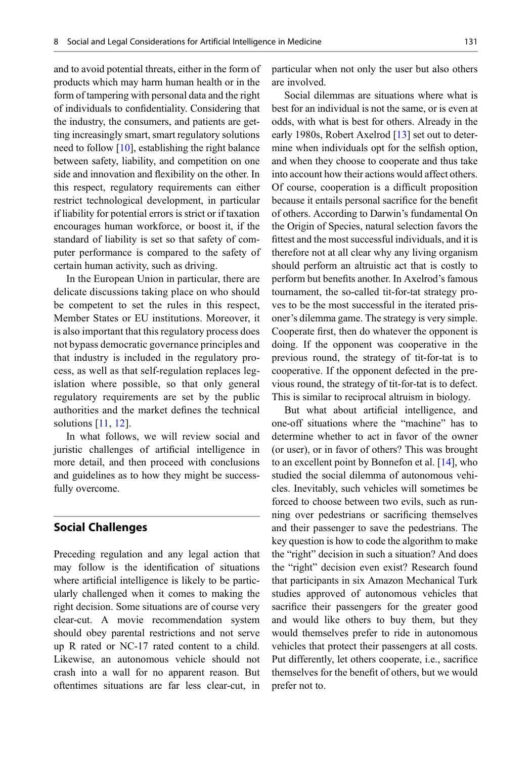and to avoid potential threats, either in the form of products which may harm human health or in the form of tampering with personal data and the right of individuals to confidentiality. Considering that the industry, the consumers, and patients are getting increasingly smart, smart regulatory solutions need to follow  $[10]$  $[10]$ , establishing the right balance between safety, liability, and competition on one side and innovation and flexibility on the other. In this respect, regulatory requirements can either restrict technological development, in particular if liability for potential errors is strict or if taxation encourages human workforce, or boost it, if the standard of liability is set so that safety of computer performance is compared to the safety of certain human activity, such as driving.

In the European Union in particular, there are delicate discussions taking place on who should be competent to set the rules in this respect, Member States or EU institutions. Moreover, it is also important that this regulatory process does not bypass democratic governance principles and that industry is included in the regulatory process, as well as that self-regulation replaces legislation where possible, so that only general regulatory requirements are set by the public authorities and the market defines the technical solutions [[11](#page-9-8), [12\]](#page-9-9).

In what follows, we will review social and juristic challenges of artificial intelligence in more detail, and then proceed with conclusions and guidelines as to how they might be successfully overcome.

#### Social Challenges

Preceding regulation and any legal action that may follow is the identification of situations where artificial intelligence is likely to be particularly challenged when it comes to making the right decision. Some situations are of course very clear-cut. A movie recommendation system should obey parental restrictions and not serve up R rated or NC-17 rated content to a child. Likewise, an autonomous vehicle should not crash into a wall for no apparent reason. But oftentimes situations are far less clear-cut, in

particular when not only the user but also others are involved.

Social dilemmas are situations where what is best for an individual is not the same, or is even at odds, with what is best for others. Already in the early 1980s, Robert Axelrod [\[13](#page-9-10)] set out to determine when individuals opt for the selfish option, and when they choose to cooperate and thus take into account how their actions would affect others. Of course, cooperation is a difficult proposition because it entails personal sacrifice for the benefit of others. According to Darwin's fundamental On the Origin of Species, natural selection favors the fittest and the most successful individuals, and it is therefore not at all clear why any living organism should perform an altruistic act that is costly to perform but benefits another. In Axelrod's famous tournament, the so-called tit-for-tat strategy proves to be the most successful in the iterated prisoner's dilemma game. The strategy is very simple. Cooperate first, then do whatever the opponent is doing. If the opponent was cooperative in the previous round, the strategy of tit-for-tat is to cooperative. If the opponent defected in the previous round, the strategy of tit-for-tat is to defect. This is similar to reciprocal altruism in biology.

But what about artificial intelligence, and one-off situations where the "machine" has to determine whether to act in favor of the owner (or user), or in favor of others? This was brought to an excellent point by Bonnefon et al. [\[14](#page-9-11)], who studied the social dilemma of autonomous vehicles. Inevitably, such vehicles will sometimes be forced to choose between two evils, such as running over pedestrians or sacrificing themselves and their passenger to save the pedestrians. The key question is how to code the algorithm to make the "right" decision in such a situation? And does the "right" decision even exist? Research found that participants in six Amazon Mechanical Turk studies approved of autonomous vehicles that sacrifice their passengers for the greater good and would like others to buy them, but they would themselves prefer to ride in autonomous vehicles that protect their passengers at all costs. Put differently, let others cooperate, i.e., sacrifice themselves for the benefit of others, but we would prefer not to.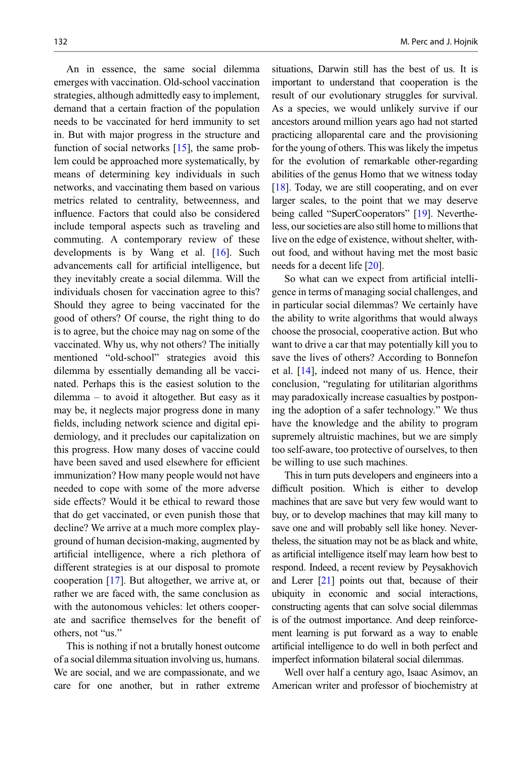An in essence, the same social dilemma emerges with vaccination. Old-school vaccination strategies, although admittedly easy to implement, demand that a certain fraction of the population needs to be vaccinated for herd immunity to set in. But with major progress in the structure and function of social networks [[15\]](#page-9-12), the same problem could be approached more systematically, by means of determining key individuals in such networks, and vaccinating them based on various metrics related to centrality, betweenness, and influence. Factors that could also be considered include temporal aspects such as traveling and commuting. A contemporary review of these developments is by Wang et al. [[16\]](#page-9-13). Such advancements call for artificial intelligence, but they inevitably create a social dilemma. Will the individuals chosen for vaccination agree to this? Should they agree to being vaccinated for the good of others? Of course, the right thing to do is to agree, but the choice may nag on some of the vaccinated. Why us, why not others? The initially mentioned "old-school" strategies avoid this dilemma by essentially demanding all be vaccinated. Perhaps this is the easiest solution to the dilemma – to avoid it altogether. But easy as it may be, it neglects major progress done in many fields, including network science and digital epidemiology, and it precludes our capitalization on this progress. How many doses of vaccine could have been saved and used elsewhere for efficient immunization? How many people would not have needed to cope with some of the more adverse side effects? Would it be ethical to reward those that do get vaccinated, or even punish those that decline? We arrive at a much more complex playground of human decision-making, augmented by artificial intelligence, where a rich plethora of different strategies is at our disposal to promote cooperation [\[17](#page-9-14)]. But altogether, we arrive at, or rather we are faced with, the same conclusion as with the autonomous vehicles: let others cooperate and sacrifice themselves for the benefit of others, not "us."

This is nothing if not a brutally honest outcome of a social dilemma situation involving us, humans. We are social, and we are compassionate, and we care for one another, but in rather extreme

situations, Darwin still has the best of us. It is important to understand that cooperation is the result of our evolutionary struggles for survival. As a species, we would unlikely survive if our ancestors around million years ago had not started practicing alloparental care and the provisioning for the young of others. This was likely the impetus for the evolution of remarkable other-regarding abilities of the genus Homo that we witness today [\[18\]](#page-9-15). Today, we are still cooperating, and on ever larger scales, to the point that we may deserve being called "SuperCooperators" [[19](#page-9-16)]. Nevertheless, our societies are also still home to millions that live on the edge of existence, without shelter, without food, and without having met the most basic needs for a decent life [\[20](#page-9-17)].

So what can we expect from artificial intelligence in terms of managing social challenges, and in particular social dilemmas? We certainly have the ability to write algorithms that would always choose the prosocial, cooperative action. But who want to drive a car that may potentially kill you to save the lives of others? According to Bonnefon et al. [\[14](#page-9-11)], indeed not many of us. Hence, their conclusion, "regulating for utilitarian algorithms may paradoxically increase casualties by postponing the adoption of a safer technology." We thus have the knowledge and the ability to program supremely altruistic machines, but we are simply too self-aware, too protective of ourselves, to then be willing to use such machines.

This in turn puts developers and engineers into a difficult position. Which is either to develop machines that are save but very few would want to buy, or to develop machines that may kill many to save one and will probably sell like honey. Nevertheless, the situation may not be as black and white, as artificial intelligence itself may learn how best to respond. Indeed, a recent review by Peysakhovich and Lerer [\[21](#page-9-18)] points out that, because of their ubiquity in economic and social interactions, constructing agents that can solve social dilemmas is of the outmost importance. And deep reinforcement learning is put forward as a way to enable artificial intelligence to do well in both perfect and imperfect information bilateral social dilemmas.

Well over half a century ago, Isaac Asimov, an American writer and professor of biochemistry at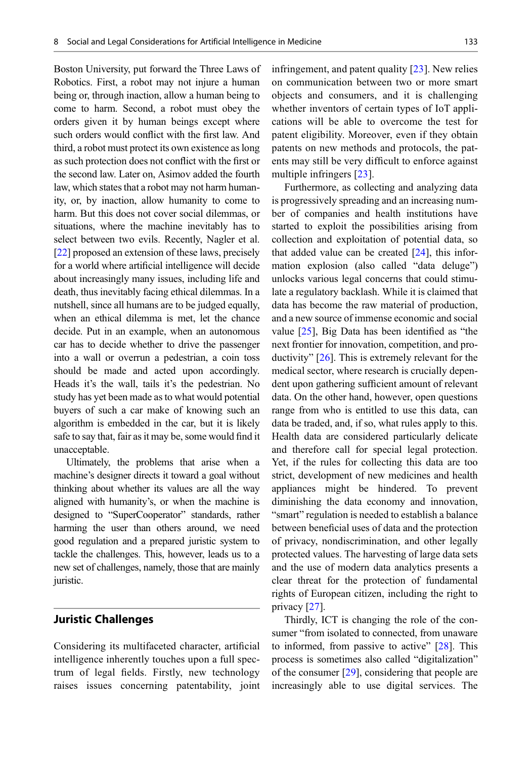Boston University, put forward the Three Laws of Robotics. First, a robot may not injure a human being or, through inaction, allow a human being to come to harm. Second, a robot must obey the orders given it by human beings except where such orders would conflict with the first law. And third, a robot must protect its own existence as long as such protection does not conflict with the first or the second law. Later on, Asimov added the fourth law, which states that a robot may not harm humanity, or, by inaction, allow humanity to come to harm. But this does not cover social dilemmas, or situations, where the machine inevitably has to select between two evils. Recently, Nagler et al. [\[22\]](#page-9-0) proposed an extension of these laws, precisely for a world where artificial intelligence will decide about increasingly many issues, including life and death, thus inevitably facing ethical dilemmas. In a nutshell, since all humans are to be judged equally, when an ethical dilemma is met, let the chance decide. Put in an example, when an autonomous car has to decide whether to drive the passenger into a wall or overrun a pedestrian, a coin toss should be made and acted upon accordingly. Heads it's the wall, tails it's the pedestrian. No study has yet been made as to what would potential buyers of such a car make of knowing such an algorithm is embedded in the car, but it is likely safe to say that, fair as it may be, some would find it unacceptable.

Ultimately, the problems that arise when a machine's designer directs it toward a goal without thinking about whether its values are all the way aligned with humanity's, or when the machine is designed to "SuperCooperator" standards, rather harming the user than others around, we need good regulation and a prepared juristic system to tackle the challenges. This, however, leads us to a new set of challenges, namely, those that are mainly juristic.

#### Juristic Challenges

Considering its multifaceted character, artificial intelligence inherently touches upon a full spectrum of legal fields. Firstly, new technology raises issues concerning patentability, joint infringement, and patent quality [\[23\]](#page-9-1). New relies on communication between two or more smart objects and consumers, and it is challenging whether inventors of certain types of IoT applications will be able to overcome the test for patent eligibility. Moreover, even if they obtain patents on new methods and protocols, the patents may still be very difficult to enforce against multiple infringers [\[23\]](#page-9-1).

Furthermore, as collecting and analyzing data is progressively spreading and an increasing number of companies and health institutions have started to exploit the possibilities arising from collection and exploitation of potential data, so that added value can be created  $[24]$  $[24]$ , this information explosion (also called "data deluge") unlocks various legal concerns that could stimulate a regulatory backlash. While it is claimed that data has become the raw material of production, and a new source of immense economic and social value [\[25](#page-9-3)], Big Data has been identified as "the next frontier for innovation, competition, and productivity" [\[26](#page-9-4)]. This is extremely relevant for the medical sector, where research is crucially dependent upon gathering sufficient amount of relevant data. On the other hand, however, open questions range from who is entitled to use this data, can data be traded, and, if so, what rules apply to this. Health data are considered particularly delicate and therefore call for special legal protection. Yet, if the rules for collecting this data are too strict, development of new medicines and health appliances might be hindered. To prevent diminishing the data economy and innovation, "smart" regulation is needed to establish a balance between beneficial uses of data and the protection of privacy, nondiscrimination, and other legally protected values. The harvesting of large data sets and the use of modern data analytics presents a clear threat for the protection of fundamental rights of European citizen, including the right to privacy [\[27](#page-9-20)].

Thirdly, ICT is changing the role of the consumer "from isolated to connected, from unaware to informed, from passive to active"  $[28]$  $[28]$ . This process is sometimes also called "digitalization" of the consumer [[29\]](#page-9-22), considering that people are increasingly able to use digital services. The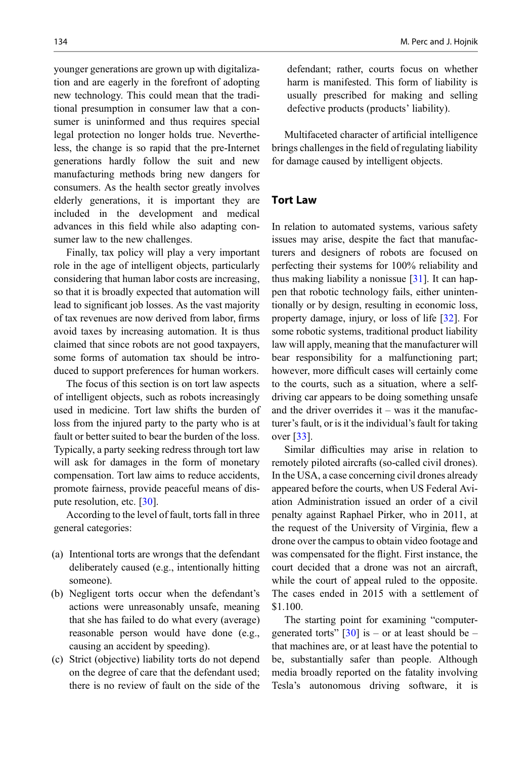younger generations are grown up with digitalization and are eagerly in the forefront of adopting new technology. This could mean that the traditional presumption in consumer law that a consumer is uninformed and thus requires special legal protection no longer holds true. Nevertheless, the change is so rapid that the pre-Internet generations hardly follow the suit and new manufacturing methods bring new dangers for consumers. As the health sector greatly involves elderly generations, it is important they are included in the development and medical advances in this field while also adapting consumer law to the new challenges.

Finally, tax policy will play a very important role in the age of intelligent objects, particularly considering that human labor costs are increasing, so that it is broadly expected that automation will lead to significant job losses. As the vast majority of tax revenues are now derived from labor, firms avoid taxes by increasing automation. It is thus claimed that since robots are not good taxpayers, some forms of automation tax should be introduced to support preferences for human workers.

The focus of this section is on tort law aspects of intelligent objects, such as robots increasingly used in medicine. Tort law shifts the burden of loss from the injured party to the party who is at fault or better suited to bear the burden of the loss. Typically, a party seeking redress through tort law will ask for damages in the form of monetary compensation. Tort law aims to reduce accidents, promote fairness, provide peaceful means of dispute resolution, etc. [\[30\]](#page-9-23).

According to the level of fault, torts fall in three general categories:

- (a) Intentional torts are wrongs that the defendant deliberately caused (e.g., intentionally hitting someone).
- (b) Negligent torts occur when the defendant's actions were unreasonably unsafe, meaning that she has failed to do what every (average) reasonable person would have done (e.g., causing an accident by speeding).
- (c) Strict (objective) liability torts do not depend on the degree of care that the defendant used; there is no review of fault on the side of the

defendant; rather, courts focus on whether harm is manifested. This form of liability is usually prescribed for making and selling defective products (products' liability).

Multifaceted character of artificial intelligence brings challenges in the field of regulating liability for damage caused by intelligent objects.

#### Tort Law

In relation to automated systems, various safety issues may arise, despite the fact that manufacturers and designers of robots are focused on perfecting their systems for 100% reliability and thus making liability a nonissue  $[31]$  $[31]$ . It can happen that robotic technology fails, either unintentionally or by design, resulting in economic loss, property damage, injury, or loss of life [[32\]](#page-9-11). For some robotic systems, traditional product liability law will apply, meaning that the manufacturer will bear responsibility for a malfunctioning part; however, more difficult cases will certainly come to the courts, such as a situation, where a selfdriving car appears to be doing something unsafe and the driver overrides it – was it the manufacturer's fault, or is it the individual's fault for taking over [\[33](#page-9-12)].

Similar difficulties may arise in relation to remotely piloted aircrafts (so-called civil drones). In the USA, a case concerning civil drones already appeared before the courts, when US Federal Aviation Administration issued an order of a civil penalty against Raphael Pirker, who in 2011, at the request of the University of Virginia, flew a drone over the campus to obtain video footage and was compensated for the flight. First instance, the court decided that a drone was not an aircraft, while the court of appeal ruled to the opposite. The cases ended in 2015 with a settlement of \$1.100.

The starting point for examining "computergenerated torts"  $\left[30\right]$  $\left[30\right]$  $\left[30\right]$  is – or at least should be – that machines are, or at least have the potential to be, substantially safer than people. Although media broadly reported on the fatality involving Tesla's autonomous driving software, it is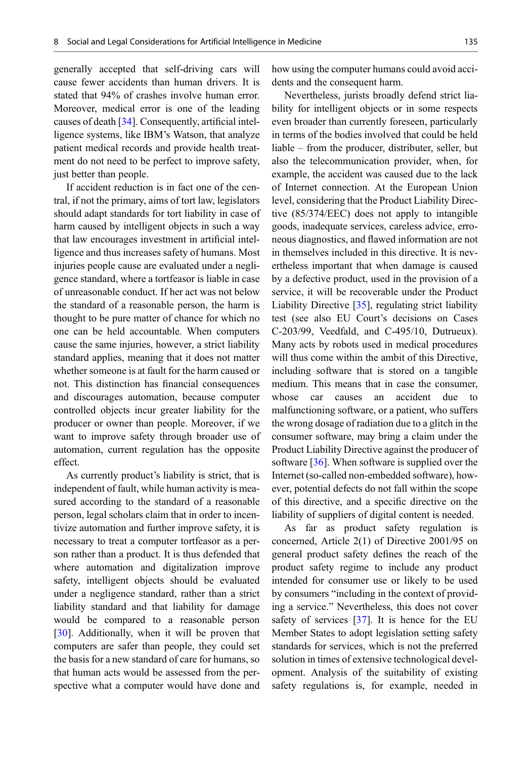generally accepted that self-driving cars will cause fewer accidents than human drivers. It is stated that 94% of crashes involve human error. Moreover, medical error is one of the leading causes of death [\[34](#page-9-24)]. Consequently, artificial intelligence systems, like IBM's Watson, that analyze patient medical records and provide health treatment do not need to be perfect to improve safety, just better than people.

If accident reduction is in fact one of the central, if not the primary, aims of tort law, legislators should adapt standards for tort liability in case of harm caused by intelligent objects in such a way that law encourages investment in artificial intelligence and thus increases safety of humans. Most injuries people cause are evaluated under a negligence standard, where a tortfeasor is liable in case of unreasonable conduct. If her act was not below the standard of a reasonable person, the harm is thought to be pure matter of chance for which no one can be held accountable. When computers cause the same injuries, however, a strict liability standard applies, meaning that it does not matter whether someone is at fault for the harm caused or not. This distinction has financial consequences and discourages automation, because computer controlled objects incur greater liability for the producer or owner than people. Moreover, if we want to improve safety through broader use of automation, current regulation has the opposite effect.

As currently product's liability is strict, that is independent of fault, while human activity is measured according to the standard of a reasonable person, legal scholars claim that in order to incentivize automation and further improve safety, it is necessary to treat a computer tortfeasor as a person rather than a product. It is thus defended that where automation and digitalization improve safety, intelligent objects should be evaluated under a negligence standard, rather than a strict liability standard and that liability for damage would be compared to a reasonable person [\[30](#page-9-23)]. Additionally, when it will be proven that computers are safer than people, they could set the basis for a new standard of care for humans, so that human acts would be assessed from the perspective what a computer would have done and how using the computer humans could avoid accidents and the consequent harm.

Nevertheless, jurists broadly defend strict liability for intelligent objects or in some respects even broader than currently foreseen, particularly in terms of the bodies involved that could be held liable – from the producer, distributer, seller, but also the telecommunication provider, when, for example, the accident was caused due to the lack of Internet connection. At the European Union level, considering that the Product Liability Directive (85/374/EEC) does not apply to intangible goods, inadequate services, careless advice, erroneous diagnostics, and flawed information are not in themselves included in this directive. It is nevertheless important that when damage is caused by a defective product, used in the provision of a service, it will be recoverable under the Product Liability Directive [\[35](#page-9-14)], regulating strict liability test (see also EU Court's decisions on Cases C-203/99, Veedfald, and C-495/10, Dutrueux). Many acts by robots used in medical procedures will thus come within the ambit of this Directive, including software that is stored on a tangible medium. This means that in case the consumer, whose car causes an accident due to malfunctioning software, or a patient, who suffers the wrong dosage of radiation due to a glitch in the consumer software, may bring a claim under the Product Liability Directive against the producer of software [\[36](#page-9-25)]. When software is supplied over the Internet (so-called non-embedded software), however, potential defects do not fall within the scope of this directive, and a specific directive on the liability of suppliers of digital content is needed.

As far as product safety regulation is concerned, Article 2(1) of Directive 2001/95 on general product safety defines the reach of the product safety regime to include any product intended for consumer use or likely to be used by consumers "including in the context of providing a service." Nevertheless, this does not cover safety of services [\[37](#page-9-26)]. It is hence for the EU Member States to adopt legislation setting safety standards for services, which is not the preferred solution in times of extensive technological development. Analysis of the suitability of existing safety regulations is, for example, needed in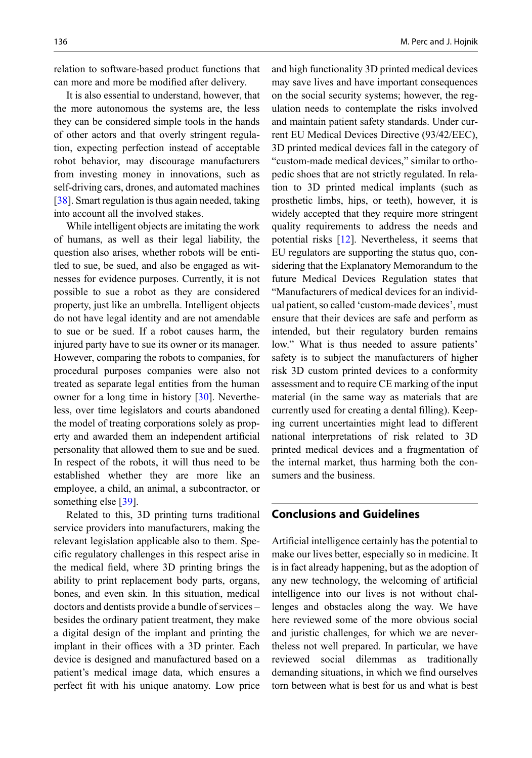relation to software-based product functions that can more and more be modified after delivery.

It is also essential to understand, however, that the more autonomous the systems are, the less they can be considered simple tools in the hands of other actors and that overly stringent regulation, expecting perfection instead of acceptable robot behavior, may discourage manufacturers from investing money in innovations, such as self-driving cars, drones, and automated machines [\[38](#page-9-27)]. Smart regulation is thus again needed, taking into account all the involved stakes.

While intelligent objects are imitating the work of humans, as well as their legal liability, the question also arises, whether robots will be entitled to sue, be sued, and also be engaged as witnesses for evidence purposes. Currently, it is not possible to sue a robot as they are considered property, just like an umbrella. Intelligent objects do not have legal identity and are not amendable to sue or be sued. If a robot causes harm, the injured party have to sue its owner or its manager. However, comparing the robots to companies, for procedural purposes companies were also not treated as separate legal entities from the human owner for a long time in history [\[30](#page-9-23)]. Nevertheless, over time legislators and courts abandoned the model of treating corporations solely as property and awarded them an independent artificial personality that allowed them to sue and be sued. In respect of the robots, it will thus need to be established whether they are more like an employee, a child, an animal, a subcontractor, or something else [[39\]](#page-9-28).

Related to this, 3D printing turns traditional service providers into manufacturers, making the relevant legislation applicable also to them. Specific regulatory challenges in this respect arise in the medical field, where 3D printing brings the ability to print replacement body parts, organs, bones, and even skin. In this situation, medical doctors and dentists provide a bundle of services – besides the ordinary patient treatment, they make a digital design of the implant and printing the implant in their offices with a 3D printer. Each device is designed and manufactured based on a patient's medical image data, which ensures a perfect fit with his unique anatomy. Low price and high functionality 3D printed medical devices may save lives and have important consequences on the social security systems; however, the regulation needs to contemplate the risks involved and maintain patient safety standards. Under current EU Medical Devices Directive (93/42/EEC), 3D printed medical devices fall in the category of "custom-made medical devices," similar to orthopedic shoes that are not strictly regulated. In relation to 3D printed medical implants (such as prosthetic limbs, hips, or teeth), however, it is widely accepted that they require more stringent quality requirements to address the needs and potential risks [[12\]](#page-9-9). Nevertheless, it seems that EU regulators are supporting the status quo, considering that the Explanatory Memorandum to the future Medical Devices Regulation states that "Manufacturers of medical devices for an individual patient, so called 'custom-made devices', must ensure that their devices are safe and perform as intended, but their regulatory burden remains low." What is thus needed to assure patients' safety is to subject the manufacturers of higher risk 3D custom printed devices to a conformity assessment and to require CE marking of the input material (in the same way as materials that are currently used for creating a dental filling). Keeping current uncertainties might lead to different national interpretations of risk related to 3D printed medical devices and a fragmentation of the internal market, thus harming both the consumers and the business.

## Conclusions and Guidelines

Artificial intelligence certainly has the potential to make our lives better, especially so in medicine. It is in fact already happening, but as the adoption of any new technology, the welcoming of artificial intelligence into our lives is not without challenges and obstacles along the way. We have here reviewed some of the more obvious social and juristic challenges, for which we are nevertheless not well prepared. In particular, we have reviewed social dilemmas as traditionally demanding situations, in which we find ourselves torn between what is best for us and what is best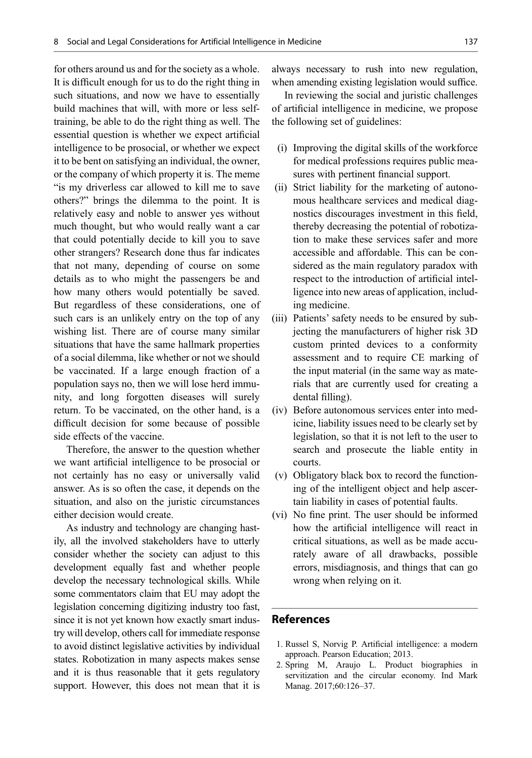for others around us and for the society as a whole. It is difficult enough for us to do the right thing in such situations, and now we have to essentially build machines that will, with more or less selftraining, be able to do the right thing as well. The essential question is whether we expect artificial intelligence to be prosocial, or whether we expect it to be bent on satisfying an individual, the owner, or the company of which property it is. The meme "is my driverless car allowed to kill me to save others?" brings the dilemma to the point. It is relatively easy and noble to answer yes without much thought, but who would really want a car that could potentially decide to kill you to save other strangers? Research done thus far indicates that not many, depending of course on some details as to who might the passengers be and how many others would potentially be saved. But regardless of these considerations, one of such cars is an unlikely entry on the top of any wishing list. There are of course many similar situations that have the same hallmark properties of a social dilemma, like whether or not we should be vaccinated. If a large enough fraction of a population says no, then we will lose herd immunity, and long forgotten diseases will surely return. To be vaccinated, on the other hand, is a difficult decision for some because of possible side effects of the vaccine.

Therefore, the answer to the question whether we want artificial intelligence to be prosocial or not certainly has no easy or universally valid answer. As is so often the case, it depends on the situation, and also on the juristic circumstances either decision would create.

<span id="page-8-1"></span><span id="page-8-0"></span>As industry and technology are changing hastily, all the involved stakeholders have to utterly consider whether the society can adjust to this development equally fast and whether people develop the necessary technological skills. While some commentators claim that EU may adopt the legislation concerning digitizing industry too fast, since it is not yet known how exactly smart industry will develop, others call for immediate response to avoid distinct legislative activities by individual states. Robotization in many aspects makes sense and it is thus reasonable that it gets regulatory support. However, this does not mean that it is always necessary to rush into new regulation, when amending existing legislation would suffice.

In reviewing the social and juristic challenges of artificial intelligence in medicine, we propose the following set of guidelines:

- (i) Improving the digital skills of the workforce for medical professions requires public measures with pertinent financial support.
- (ii) Strict liability for the marketing of autonomous healthcare services and medical diagnostics discourages investment in this field, thereby decreasing the potential of robotization to make these services safer and more accessible and affordable. This can be considered as the main regulatory paradox with respect to the introduction of artificial intelligence into new areas of application, including medicine.
- (iii) Patients' safety needs to be ensured by subjecting the manufacturers of higher risk 3D custom printed devices to a conformity assessment and to require CE marking of the input material (in the same way as materials that are currently used for creating a dental filling).
- (iv) Before autonomous services enter into medicine, liability issues need to be clearly set by legislation, so that it is not left to the user to search and prosecute the liable entity in courts.
- (v) Obligatory black box to record the functioning of the intelligent object and help ascertain liability in cases of potential faults.
- (vi) No fine print. The user should be informed how the artificial intelligence will react in critical situations, as well as be made accurately aware of all drawbacks, possible errors, misdiagnosis, and things that can go wrong when relying on it.

#### References

- 1. Russel S, Norvig P. Artificial intelligence: a modern approach. Pearson Education; 2013.
- 2. Spring M, Araujo L. Product biographies in servitization and the circular economy. Ind Mark Manag. 2017;60:126–37.